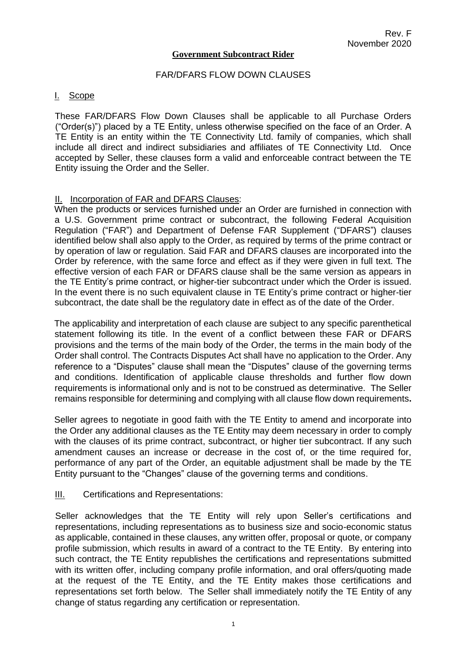#### **Government Subcontract Rider**

#### FAR/DFARS FLOW DOWN CLAUSES

#### I. Scope

These FAR/DFARS Flow Down Clauses shall be applicable to all Purchase Orders ("Order(s)") placed by a TE Entity, unless otherwise specified on the face of an Order. A TE Entity is an entity within the TE Connectivity Ltd. family of companies, which shall include all direct and indirect subsidiaries and affiliates of TE Connectivity Ltd. Once accepted by Seller, these clauses form a valid and enforceable contract between the TE Entity issuing the Order and the Seller.

#### II. Incorporation of FAR and DFARS Clauses:

When the products or services furnished under an Order are furnished in connection with a U.S. Government prime contract or subcontract, the following Federal Acquisition Regulation ("FAR") and Department of Defense FAR Supplement ("DFARS") clauses identified below shall also apply to the Order, as required by terms of the prime contract or by operation of law or regulation. Said FAR and DFARS clauses are incorporated into the Order by reference, with the same force and effect as if they were given in full text. The effective version of each FAR or DFARS clause shall be the same version as appears in the TE Entity's prime contract, or higher-tier subcontract under which the Order is issued. In the event there is no such equivalent clause in TE Entity's prime contract or higher-tier subcontract, the date shall be the regulatory date in effect as of the date of the Order.

The applicability and interpretation of each clause are subject to any specific parenthetical statement following its title. In the event of a conflict between these FAR or DFARS provisions and the terms of the main body of the Order, the terms in the main body of the Order shall control. The Contracts Disputes Act shall have no application to the Order. Any reference to a "Disputes" clause shall mean the "Disputes" clause of the governing terms and conditions. Identification of applicable clause thresholds and further flow down requirements is informational only and is not to be construed as determinative. The Seller remains responsible for determining and complying with all clause flow down requirements**.**

Seller agrees to negotiate in good faith with the TE Entity to amend and incorporate into the Order any additional clauses as the TE Entity may deem necessary in order to comply with the clauses of its prime contract, subcontract, or higher tier subcontract. If any such amendment causes an increase or decrease in the cost of, or the time required for, performance of any part of the Order, an equitable adjustment shall be made by the TE Entity pursuant to the "Changes" clause of the governing terms and conditions.

#### **III.** Certifications and Representations:

Seller acknowledges that the TE Entity will rely upon Seller's certifications and representations, including representations as to business size and socio-economic status as applicable, contained in these clauses, any written offer, proposal or quote, or company profile submission, which results in award of a contract to the TE Entity. By entering into such contract, the TE Entity republishes the certifications and representations submitted with its written offer, including company profile information, and oral offers/quoting made at the request of the TE Entity, and the TE Entity makes those certifications and representations set forth below. The Seller shall immediately notify the TE Entity of any change of status regarding any certification or representation.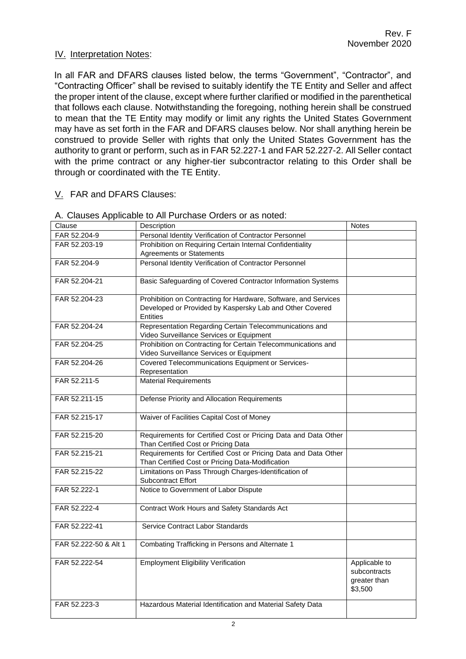## IV. Interpretation Notes:

In all FAR and DFARS clauses listed below, the terms "Government", "Contractor", and "Contracting Officer" shall be revised to suitably identify the TE Entity and Seller and affect the proper intent of the clause, except where further clarified or modified in the parenthetical that follows each clause. Notwithstanding the foregoing, nothing herein shall be construed to mean that the TE Entity may modify or limit any rights the United States Government may have as set forth in the FAR and DFARS clauses below. Nor shall anything herein be construed to provide Seller with rights that only the United States Government has the authority to grant or perform, such as in FAR 52.227-1 and FAR 52.227-2. All Seller contact with the prime contract or any higher-tier subcontractor relating to this Order shall be through or coordinated with the TE Entity.

## V. FAR and DFARS Clauses:

| Clause                | Description                                                                                                                                    | <b>Notes</b>                                             |
|-----------------------|------------------------------------------------------------------------------------------------------------------------------------------------|----------------------------------------------------------|
| FAR 52.204-9          | Personal Identity Verification of Contractor Personnel                                                                                         |                                                          |
| FAR 52.203-19         | Prohibition on Requiring Certain Internal Confidentiality                                                                                      |                                                          |
|                       | <b>Agreements or Statements</b>                                                                                                                |                                                          |
| FAR 52.204-9          | Personal Identity Verification of Contractor Personnel                                                                                         |                                                          |
| FAR 52.204-21         | Basic Safeguarding of Covered Contractor Information Systems                                                                                   |                                                          |
| FAR 52.204-23         | Prohibition on Contracting for Hardware, Software, and Services<br>Developed or Provided by Kaspersky Lab and Other Covered<br><b>Entities</b> |                                                          |
| FAR 52.204-24         | Representation Regarding Certain Telecommunications and<br>Video Surveillance Services or Equipment                                            |                                                          |
| FAR 52.204-25         | Prohibition on Contracting for Certain Telecommunications and<br>Video Surveillance Services or Equipment                                      |                                                          |
| FAR 52.204-26         | Covered Telecommunications Equipment or Services-<br>Representation                                                                            |                                                          |
| FAR 52.211-5          | <b>Material Requirements</b>                                                                                                                   |                                                          |
| FAR 52.211-15         | Defense Priority and Allocation Requirements                                                                                                   |                                                          |
| FAR 52.215-17         | Waiver of Facilities Capital Cost of Money                                                                                                     |                                                          |
| FAR 52.215-20         | Requirements for Certified Cost or Pricing Data and Data Other<br>Than Certified Cost or Pricing Data                                          |                                                          |
| FAR 52.215-21         | Requirements for Certified Cost or Pricing Data and Data Other<br>Than Certified Cost or Pricing Data-Modification                             |                                                          |
| FAR 52.215-22         | Limitations on Pass Through Charges-Identification of<br><b>Subcontract Effort</b>                                                             |                                                          |
| FAR 52.222-1          | Notice to Government of Labor Dispute                                                                                                          |                                                          |
| FAR 52.222-4          | Contract Work Hours and Safety Standards Act                                                                                                   |                                                          |
| FAR 52.222-41         | Service Contract Labor Standards                                                                                                               |                                                          |
| FAR 52.222-50 & Alt 1 | Combating Trafficking in Persons and Alternate 1                                                                                               |                                                          |
| FAR 52.222-54         | <b>Employment Eligibility Verification</b>                                                                                                     | Applicable to<br>subcontracts<br>greater than<br>\$3,500 |
| FAR 52.223-3          | Hazardous Material Identification and Material Safety Data                                                                                     |                                                          |

#### A. Clauses Applicable to All Purchase Orders or as noted: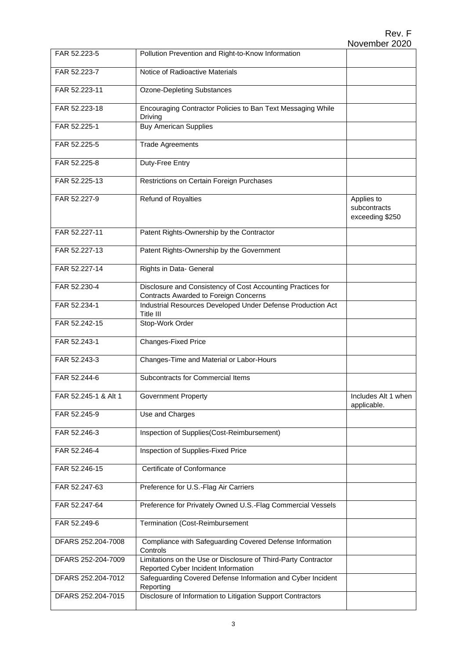| FAR 52.223-5         | Pollution Prevention and Right-to-Know Information                                                          |                                               |
|----------------------|-------------------------------------------------------------------------------------------------------------|-----------------------------------------------|
| FAR 52.223-7         | Notice of Radioactive Materials                                                                             |                                               |
| FAR 52.223-11        | <b>Ozone-Depleting Substances</b>                                                                           |                                               |
| FAR 52.223-18        | Encouraging Contractor Policies to Ban Text Messaging While<br>Driving                                      |                                               |
| FAR 52.225-1         | <b>Buy American Supplies</b>                                                                                |                                               |
| FAR 52.225-5         | <b>Trade Agreements</b>                                                                                     |                                               |
| FAR 52.225-8         | Duty-Free Entry                                                                                             |                                               |
| FAR 52.225-13        | Restrictions on Certain Foreign Purchases                                                                   |                                               |
| FAR 52.227-9         | <b>Refund of Royalties</b>                                                                                  | Applies to<br>subcontracts<br>exceeding \$250 |
| FAR 52.227-11        | Patent Rights-Ownership by the Contractor                                                                   |                                               |
| FAR 52.227-13        | Patent Rights-Ownership by the Government                                                                   |                                               |
| FAR 52.227-14        | Rights in Data- General                                                                                     |                                               |
| FAR 52.230-4         | Disclosure and Consistency of Cost Accounting Practices for<br><b>Contracts Awarded to Foreign Concerns</b> |                                               |
| FAR 52.234-1         | Industrial Resources Developed Under Defense Production Act<br>Title III                                    |                                               |
| FAR 52.242-15        | Stop-Work Order                                                                                             |                                               |
| FAR 52.243-1         | <b>Changes-Fixed Price</b>                                                                                  |                                               |
| FAR 52.243-3         | Changes-Time and Material or Labor-Hours                                                                    |                                               |
| FAR 52.244-6         | Subcontracts for Commercial Items                                                                           |                                               |
| FAR 52.245-1 & Alt 1 | <b>Government Property</b>                                                                                  | Includes Alt 1 when<br>applicable.            |
| FAR 52.245-9         | Use and Charges                                                                                             |                                               |
| FAR 52.246-3         | Inspection of Supplies(Cost-Reimbursement)                                                                  |                                               |
| FAR 52.246-4         | Inspection of Supplies-Fixed Price                                                                          |                                               |
| FAR 52.246-15        | Certificate of Conformance                                                                                  |                                               |
| FAR 52.247-63        | Preference for U.S.-Flag Air Carriers                                                                       |                                               |
| FAR 52.247-64        | Preference for Privately Owned U.S.-Flag Commercial Vessels                                                 |                                               |
| FAR 52.249-6         | Termination (Cost-Reimbursement                                                                             |                                               |
| DFARS 252.204-7008   | Compliance with Safeguarding Covered Defense Information<br>Controls                                        |                                               |
| DFARS 252-204-7009   | Limitations on the Use or Disclosure of Third-Party Contractor<br>Reported Cyber Incident Information       |                                               |
| DFARS 252.204-7012   | Safeguarding Covered Defense Information and Cyber Incident<br>Reporting                                    |                                               |
| DFARS 252.204-7015   | Disclosure of Information to Litigation Support Contractors                                                 |                                               |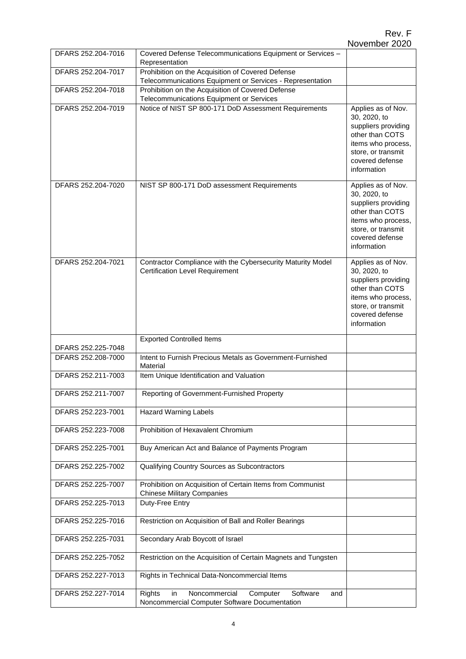| DFARS 252.204-7016 | Covered Defense Telecommunications Equipment or Services -<br>Representation                                   |                                                                                                                                                            |
|--------------------|----------------------------------------------------------------------------------------------------------------|------------------------------------------------------------------------------------------------------------------------------------------------------------|
| DFARS 252.204-7017 | Prohibition on the Acquisition of Covered Defense<br>Telecommunications Equipment or Services - Representation |                                                                                                                                                            |
| DFARS 252.204-7018 | Prohibition on the Acquisition of Covered Defense<br>Telecommunications Equipment or Services                  |                                                                                                                                                            |
| DFARS 252.204-7019 | Notice of NIST SP 800-171 DoD Assessment Requirements                                                          | Applies as of Nov.<br>30, 2020, to<br>suppliers providing<br>other than COTS<br>items who process,<br>store, or transmit<br>covered defense<br>information |
| DFARS 252.204-7020 | NIST SP 800-171 DoD assessment Requirements                                                                    | Applies as of Nov.<br>30, 2020, to<br>suppliers providing<br>other than COTS<br>items who process,<br>store, or transmit<br>covered defense<br>information |
| DFARS 252.204-7021 | Contractor Compliance with the Cybersecurity Maturity Model<br><b>Certification Level Requirement</b>          | Applies as of Nov.<br>30, 2020, to<br>suppliers providing<br>other than COTS<br>items who process,<br>store, or transmit<br>covered defense<br>information |
| DFARS 252.225-7048 | <b>Exported Controlled Items</b>                                                                               |                                                                                                                                                            |
| DFARS 252.208-7000 | Intent to Furnish Precious Metals as Government-Furnished<br>Material                                          |                                                                                                                                                            |
| DFARS 252.211-7003 | Item Unique Identification and Valuation                                                                       |                                                                                                                                                            |
| DFARS 252.211-7007 | Reporting of Government-Furnished Property                                                                     |                                                                                                                                                            |
| DFARS 252.223-7001 | <b>Hazard Warning Labels</b>                                                                                   |                                                                                                                                                            |
| DFARS 252.223-7008 | Prohibition of Hexavalent Chromium                                                                             |                                                                                                                                                            |
| DFARS 252.225-7001 | Buy American Act and Balance of Payments Program                                                               |                                                                                                                                                            |
| DFARS 252.225-7002 | Qualifying Country Sources as Subcontractors                                                                   |                                                                                                                                                            |
| DFARS 252.225-7007 | Prohibition on Acquisition of Certain Items from Communist<br><b>Chinese Military Companies</b>                |                                                                                                                                                            |
| DFARS 252.225-7013 | Duty-Free Entry                                                                                                |                                                                                                                                                            |
| DFARS 252.225-7016 | Restriction on Acquisition of Ball and Roller Bearings                                                         |                                                                                                                                                            |
| DFARS 252.225-7031 | Secondary Arab Boycott of Israel                                                                               |                                                                                                                                                            |
| DFARS 252.225-7052 | Restriction on the Acquisition of Certain Magnets and Tungsten                                                 |                                                                                                                                                            |
| DFARS 252,227-7013 | Rights in Technical Data-Noncommercial Items                                                                   |                                                                                                                                                            |
| DFARS 252.227-7014 | Software<br>Rights<br>in<br>Noncommercial<br>Computer<br>and<br>Noncommercial Computer Software Documentation  |                                                                                                                                                            |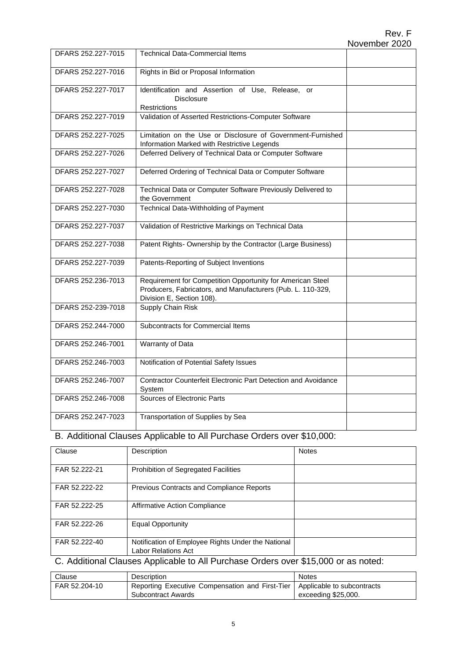| DFARS 252.227-7015 | <b>Technical Data-Commercial Items</b>                                                                                                                 |  |
|--------------------|--------------------------------------------------------------------------------------------------------------------------------------------------------|--|
| DFARS 252.227-7016 | Rights in Bid or Proposal Information                                                                                                                  |  |
| DFARS 252.227-7017 | Identification and Assertion of Use, Release, or<br><b>Disclosure</b><br><b>Restrictions</b>                                                           |  |
| DFARS 252.227-7019 | Validation of Asserted Restrictions-Computer Software                                                                                                  |  |
| DFARS 252.227-7025 | Limitation on the Use or Disclosure of Government-Furnished<br>Information Marked with Restrictive Legends                                             |  |
| DFARS 252.227-7026 | Deferred Delivery of Technical Data or Computer Software                                                                                               |  |
| DFARS 252.227-7027 | Deferred Ordering of Technical Data or Computer Software                                                                                               |  |
| DFARS 252.227-7028 | Technical Data or Computer Software Previously Delivered to<br>the Government                                                                          |  |
| DFARS 252.227-7030 | Technical Data-Withholding of Payment                                                                                                                  |  |
| DFARS 252.227-7037 | Validation of Restrictive Markings on Technical Data                                                                                                   |  |
| DFARS 252.227-7038 | Patent Rights-Ownership by the Contractor (Large Business)                                                                                             |  |
| DFARS 252.227-7039 | Patents-Reporting of Subject Inventions                                                                                                                |  |
| DFARS 252,236-7013 | Requirement for Competition Opportunity for American Steel<br>Producers, Fabricators, and Manufacturers (Pub. L. 110-329,<br>Division E, Section 108). |  |
| DFARS 252-239-7018 | Supply Chain Risk                                                                                                                                      |  |
| DFARS 252.244-7000 | Subcontracts for Commercial Items                                                                                                                      |  |
| DFARS 252.246-7001 | Warranty of Data                                                                                                                                       |  |
| DFARS 252.246-7003 | Notification of Potential Safety Issues                                                                                                                |  |
| DFARS 252.246-7007 | Contractor Counterfeit Electronic Part Detection and Avoidance<br>System                                                                               |  |
| DFARS 252.246-7008 | Sources of Electronic Parts                                                                                                                            |  |
| DFARS 252.247-7023 | Transportation of Supplies by Sea                                                                                                                      |  |

#### B. Additional Clauses Applicable to All Purchase Orders over \$10,000:

| Clause        | Description                                                               | <b>Notes</b> |
|---------------|---------------------------------------------------------------------------|--------------|
| FAR 52.222-21 | Prohibition of Segregated Facilities                                      |              |
| FAR 52.222-22 | Previous Contracts and Compliance Reports                                 |              |
| FAR 52.222-25 | Affirmative Action Compliance                                             |              |
| FAR 52.222-26 | <b>Equal Opportunity</b>                                                  |              |
| FAR 52.222-40 | Notification of Employee Rights Under the National<br>Labor Relations Act |              |

C. Additional Clauses Applicable to All Purchase Orders over \$15,000 or as noted:

| Clause        | Description                                                                  | <b>Notes</b>        |
|---------------|------------------------------------------------------------------------------|---------------------|
| FAR 52.204-10 | Reporting Executive Compensation and First-Tier   Applicable to subcontracts |                     |
|               | Subcontract Awards                                                           | exceeding \$25,000. |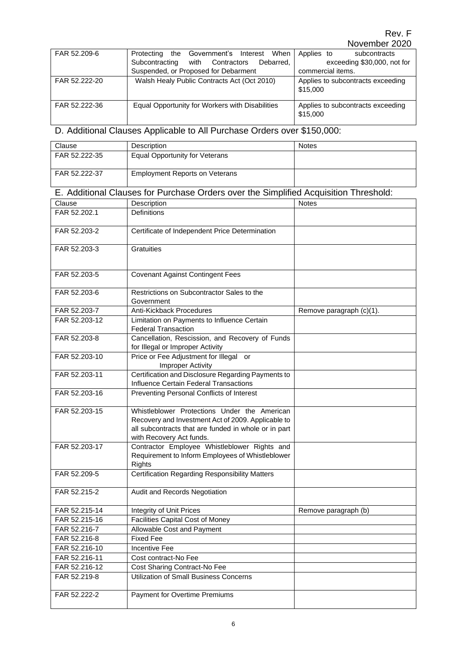#### Rev. F November 2020

 $\overline{a}$ 

| FAR 52.209-6  | the Government's Interest When<br>Protecting    | Applies to<br>subcontracts                    |
|---------------|-------------------------------------------------|-----------------------------------------------|
|               | Subcontracting with Contractors<br>Debarred.    | exceeding \$30,000, not for                   |
|               | Suspended, or Proposed for Debarment            | commercial items.                             |
| FAR 52.222-20 | Walsh Healy Public Contracts Act (Oct 2010)     | Applies to subcontracts exceeding<br>\$15,000 |
| FAR 52.222-36 | Equal Opportunity for Workers with Disabilities | Applies to subcontracts exceeding<br>\$15,000 |

# D. Additional Clauses Applicable to All Purchase Orders over \$150,000:

| Clause        | Description                           | <b>Notes</b> |
|---------------|---------------------------------------|--------------|
| FAR 52.222-35 | Equal Opportunity for Veterans        |              |
| FAR 52.222-37 | <b>Employment Reports on Veterans</b> |              |

#### E. Additional Clauses for Purchase Orders over the Simplified Acquisition Threshold:

| Clause        | Description                                                                                                                                                                            | <b>Notes</b>             |
|---------------|----------------------------------------------------------------------------------------------------------------------------------------------------------------------------------------|--------------------------|
| FAR 52.202.1  | <b>Definitions</b>                                                                                                                                                                     |                          |
| FAR 52.203-2  | Certificate of Independent Price Determination                                                                                                                                         |                          |
| FAR 52.203-3  | <b>Gratuities</b>                                                                                                                                                                      |                          |
| FAR 52.203-5  | <b>Covenant Against Contingent Fees</b>                                                                                                                                                |                          |
| FAR 52.203-6  | Restrictions on Subcontractor Sales to the<br>Government                                                                                                                               |                          |
| FAR 52.203-7  | <b>Anti-Kickback Procedures</b>                                                                                                                                                        | Remove paragraph (c)(1). |
| FAR 52.203-12 | Limitation on Payments to Influence Certain<br><b>Federal Transaction</b>                                                                                                              |                          |
| FAR 52,203-8  | Cancellation, Rescission, and Recovery of Funds<br>for Illegal or Improper Activity                                                                                                    |                          |
| FAR 52.203-10 | Price or Fee Adjustment for Illegal or<br><b>Improper Activity</b>                                                                                                                     |                          |
| FAR 52.203-11 | Certification and Disclosure Regarding Payments to<br><b>Influence Certain Federal Transactions</b>                                                                                    |                          |
| FAR 52.203-16 | Preventing Personal Conflicts of Interest                                                                                                                                              |                          |
| FAR 52.203-15 | Whistleblower Protections Under the American<br>Recovery and Investment Act of 2009. Applicable to<br>all subcontracts that are funded in whole or in part<br>with Recovery Act funds. |                          |
| FAR 52.203-17 | Contractor Employee Whistleblower Rights and<br>Requirement to Inform Employees of Whistleblower<br><b>Rights</b>                                                                      |                          |
| FAR 52.209-5  | <b>Certification Regarding Responsibility Matters</b>                                                                                                                                  |                          |
| FAR 52.215-2  | Audit and Records Negotiation                                                                                                                                                          |                          |
| FAR 52.215-14 | <b>Integrity of Unit Prices</b>                                                                                                                                                        | Remove paragraph (b)     |
| FAR 52.215-16 | <b>Facilities Capital Cost of Money</b>                                                                                                                                                |                          |
| FAR 52.216-7  | Allowable Cost and Payment                                                                                                                                                             |                          |
| FAR 52.216-8  | <b>Fixed Fee</b>                                                                                                                                                                       |                          |
| FAR 52.216-10 | <b>Incentive Fee</b>                                                                                                                                                                   |                          |
| FAR 52.216-11 | Cost contract-No Fee                                                                                                                                                                   |                          |
| FAR 52.216-12 | Cost Sharing Contract-No Fee                                                                                                                                                           |                          |
| FAR 52.219-8  | <b>Utilization of Small Business Concerns</b>                                                                                                                                          |                          |
| FAR 52.222-2  | Payment for Overtime Premiums                                                                                                                                                          |                          |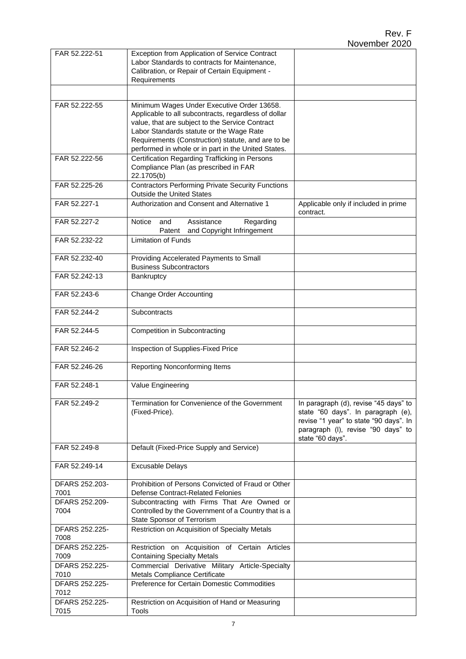| FAR 52.222-51          | Exception from Application of Service Contract<br>Labor Standards to contracts for Maintenance,<br>Calibration, or Repair of Certain Equipment -                                                                                                        |                                                                                                                                                                                 |
|------------------------|---------------------------------------------------------------------------------------------------------------------------------------------------------------------------------------------------------------------------------------------------------|---------------------------------------------------------------------------------------------------------------------------------------------------------------------------------|
|                        | Requirements                                                                                                                                                                                                                                            |                                                                                                                                                                                 |
|                        |                                                                                                                                                                                                                                                         |                                                                                                                                                                                 |
| FAR 52.222-55          | Minimum Wages Under Executive Order 13658.<br>Applicable to all subcontracts, regardless of dollar<br>value, that are subject to the Service Contract<br>Labor Standards statute or the Wage Rate<br>Requirements (Construction) statute, and are to be |                                                                                                                                                                                 |
|                        | performed in whole or in part in the United States.                                                                                                                                                                                                     |                                                                                                                                                                                 |
| FAR 52.222-56          | Certification Regarding Trafficking in Persons<br>Compliance Plan (as prescribed in FAR<br>22.1705(b)                                                                                                                                                   |                                                                                                                                                                                 |
| FAR 52.225-26          | <b>Contractors Performing Private Security Functions</b><br><b>Outside the United States</b>                                                                                                                                                            |                                                                                                                                                                                 |
| FAR 52.227-1           | Authorization and Consent and Alternative 1                                                                                                                                                                                                             | Applicable only if included in prime<br>contract.                                                                                                                               |
| FAR 52.227-2           | <b>Notice</b><br>Assistance<br>Regarding<br>and<br>and Copyright Infringement<br>Patent                                                                                                                                                                 |                                                                                                                                                                                 |
| FAR 52.232-22          | <b>Limitation of Funds</b>                                                                                                                                                                                                                              |                                                                                                                                                                                 |
| FAR 52.232-40          | Providing Accelerated Payments to Small<br><b>Business Subcontractors</b>                                                                                                                                                                               |                                                                                                                                                                                 |
| FAR 52.242-13          | Bankruptcy                                                                                                                                                                                                                                              |                                                                                                                                                                                 |
| FAR 52.243-6           | <b>Change Order Accounting</b>                                                                                                                                                                                                                          |                                                                                                                                                                                 |
| FAR 52.244-2           | Subcontracts                                                                                                                                                                                                                                            |                                                                                                                                                                                 |
| FAR 52.244-5           | Competition in Subcontracting                                                                                                                                                                                                                           |                                                                                                                                                                                 |
| FAR 52.246-2           | Inspection of Supplies-Fixed Price                                                                                                                                                                                                                      |                                                                                                                                                                                 |
| FAR 52.246-26          | Reporting Nonconforming Items                                                                                                                                                                                                                           |                                                                                                                                                                                 |
| FAR 52.248-1           | Value Engineering                                                                                                                                                                                                                                       |                                                                                                                                                                                 |
| FAR 52.249-2           | Termination for Convenience of the Government<br>(Fixed-Price).                                                                                                                                                                                         | In paragraph (d), revise "45 days" to<br>state "60 days". In paragraph (e),<br>revise "1 year" to state "90 days". In<br>paragraph (I), revise "90 days" to<br>state "60 days". |
| FAR 52.249-8           | Default (Fixed-Price Supply and Service)                                                                                                                                                                                                                |                                                                                                                                                                                 |
| FAR 52.249-14          | <b>Excusable Delays</b>                                                                                                                                                                                                                                 |                                                                                                                                                                                 |
| DFARS 252.203-         | Prohibition of Persons Convicted of Fraud or Other                                                                                                                                                                                                      |                                                                                                                                                                                 |
| 7001<br>DFARS 252.209- | Defense Contract-Related Felonies<br>Subcontracting with Firms That Are Owned or                                                                                                                                                                        |                                                                                                                                                                                 |
| 7004                   | Controlled by the Government of a Country that is a<br>State Sponsor of Terrorism                                                                                                                                                                       |                                                                                                                                                                                 |
| DFARS 252.225-<br>7008 | Restriction on Acquisition of Specialty Metals                                                                                                                                                                                                          |                                                                                                                                                                                 |
| DFARS 252.225-<br>7009 | Restriction on Acquisition of Certain Articles<br><b>Containing Specialty Metals</b>                                                                                                                                                                    |                                                                                                                                                                                 |
| DFARS 252.225-         | Commercial Derivative Military Article-Specialty                                                                                                                                                                                                        |                                                                                                                                                                                 |
| 7010<br>DFARS 252.225- | Metals Compliance Certificate<br>Preference for Certain Domestic Commodities                                                                                                                                                                            |                                                                                                                                                                                 |
| 7012                   |                                                                                                                                                                                                                                                         |                                                                                                                                                                                 |
| DFARS 252.225-<br>7015 | Restriction on Acquisition of Hand or Measuring<br>Tools                                                                                                                                                                                                |                                                                                                                                                                                 |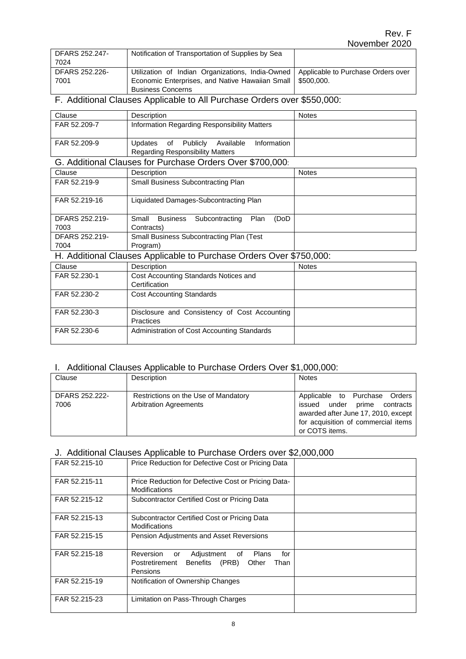| <b>DFARS 252.247-</b> | Notification of Transportation of Supplies by Sea                                     |  |
|-----------------------|---------------------------------------------------------------------------------------|--|
| 7024                  |                                                                                       |  |
| DFARS 252.226-        | Utilization of Indian Organizations, India-Owned   Applicable to Purchase Orders over |  |
| 7001                  | Economic Enterprises, and Native Hawaiian Small   \$500,000.                          |  |
|                       | <b>Business Concerns</b>                                                              |  |

## F. Additional Clauses Applicable to All Purchase Orders over \$550,000:

| Clause       | Description                                                                                   | <b>Notes</b> |
|--------------|-----------------------------------------------------------------------------------------------|--------------|
| FAR 52.209-7 | Information Regarding Responsibility Matters                                                  |              |
| FAR 52.209-9 | of Publiclv<br>Available<br>Information<br>Updates<br><b>Regarding Responsibility Matters</b> |              |

#### G. Additional Clauses for Purchase Orders Over \$700,000:

| Clause                 | Description                                                        | <b>Notes</b> |
|------------------------|--------------------------------------------------------------------|--------------|
| FAR 52.219-9           | Small Business Subcontracting Plan                                 |              |
| FAR 52.219-16          | Liquidated Damages-Subcontracting Plan                             |              |
| DFARS 252.219-<br>7003 | Plan<br>Business<br>Subcontracting<br>Small<br>(DoD)<br>Contracts) |              |
| DFARS 252.219-<br>7004 | <b>Small Business Subcontracting Plan (Test)</b><br>Program)       |              |

## H. Additional Clauses Applicable to Purchase Orders Over \$750,000:

| Clause       | Description                                                       | <b>Notes</b> |
|--------------|-------------------------------------------------------------------|--------------|
| FAR 52.230-1 | Cost Accounting Standards Notices and                             |              |
|              | Certification                                                     |              |
| FAR 52.230-2 | <b>Cost Accounting Standards</b>                                  |              |
|              |                                                                   |              |
| FAR 52.230-3 | Disclosure and Consistency of Cost Accounting<br><b>Practices</b> |              |
| FAR 52.230-6 | Administration of Cost Accounting Standards                       |              |

## I. Additional Clauses Applicable to Purchase Orders Over \$1,000,000:

| Clause         | Description                          | <b>Notes</b>                        |
|----------------|--------------------------------------|-------------------------------------|
|                |                                      |                                     |
| DFARS 252.222- | Restrictions on the Use of Mandatory | Applicable to Purchase Orders       |
| 7006           | <b>Arbitration Agreements</b>        | issued under prime contracts        |
|                |                                      | awarded after June 17, 2010, except |
|                |                                      | for acquisition of commercial items |
|                |                                      | or COTS items.                      |

## J. Additional Clauses Applicable to Purchase Orders over \$2,000,000

| FAR 52.215-10 | Price Reduction for Defective Cost or Pricing Data                                                                    |  |
|---------------|-----------------------------------------------------------------------------------------------------------------------|--|
| FAR 52.215-11 | Price Reduction for Defective Cost or Pricing Data-<br>Modifications                                                  |  |
| FAR 52.215-12 | Subcontractor Certified Cost or Pricing Data                                                                          |  |
| FAR 52.215-13 | Subcontractor Certified Cost or Pricing Data<br>Modifications                                                         |  |
| FAR 52.215-15 | <b>Pension Adjustments and Asset Reversions</b>                                                                       |  |
| FAR 52.215-18 | Reversion or<br>Adjustment of<br>Plans<br>for<br>Benefits (PRB)<br>Other<br>Postretirement<br>Than<br><b>Pensions</b> |  |
| FAR 52.215-19 | Notification of Ownership Changes                                                                                     |  |
| FAR 52.215-23 | Limitation on Pass-Through Charges                                                                                    |  |